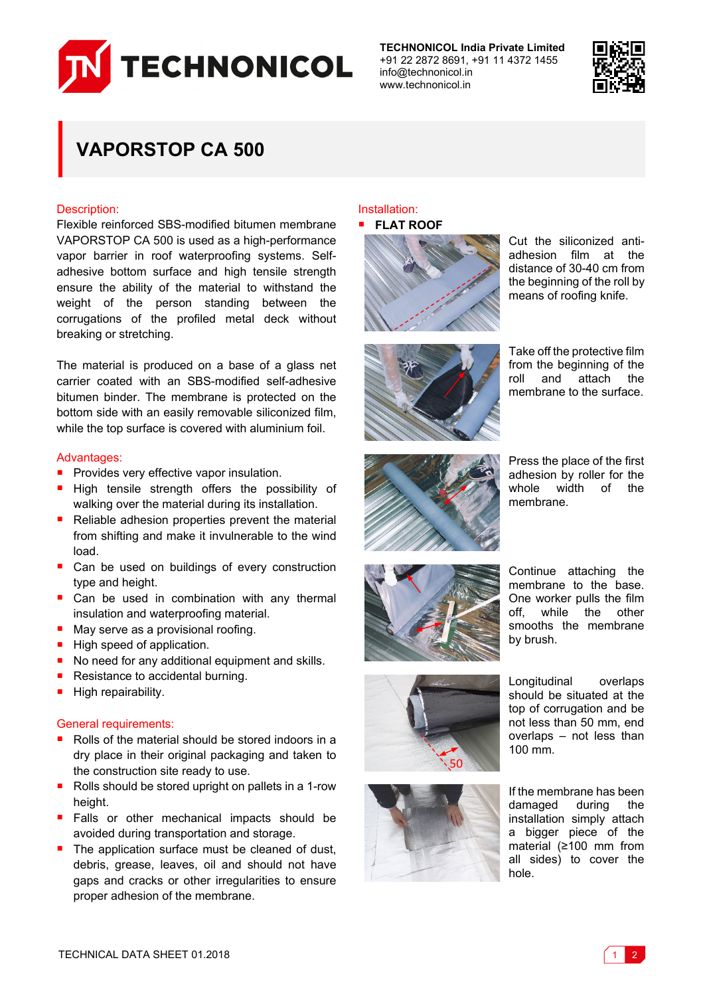

**TECHNONICOL India Private Limited** +91 22 2872 8691, +91 11 4372 1455 info@technonicol.in www.technonicol.in



# **VAPORSTOP CA 500**

### Description:

Flexible reinforced SBS-modified bitumen membrane VAPORSTOP CA 500 is used as a high-performance vapor barrier in roof waterproofing systems. Selfadhesive bottom surface and high tensile strength ensure the ability of the material to withstand the weight of the person standing between the corrugations of the profiled metal deck without breaking or stretching.

The material is produced on a base of a glass net carrier coated with an SBS-modified self-adhesive bitumen binder. The membrane is protected on the bottom side with an easily removable siliconized film, while the top surface is covered with aluminium foil.

### Advantages:

- **Provides very effective vapor insulation.**
- **High tensile strength offers the possibility of** walking over the material during its installation.
- Reliable adhesion properties prevent the material from shifting and make it invulnerable to the wind load.
- Can be used on buildings of every construction type and height.
- Can be used in combination with any thermal insulation and waterproofing material.
- May serve as a provisional roofing.
- High speed of application.
- No need for any additional equipment and skills.
- Resistance to accidental burning.
- $\blacksquare$  High repairability.

### General requirements:

- Rolls of the material should be stored indoors in a dry place in their original packaging and taken to the construction site ready to use.
- Rolls should be stored upright on pallets in a 1-row height.
- **Falls or other mechanical impacts should be** avoided during transportation and storage.
- The application surface must be cleaned of dust, debris, grease, leaves, oil and should not have gaps and cracks or other irregularities to ensure proper adhesion of the membrane.

## Installation:



Cut the siliconized antiadhesion film at the distance of 30-40 cm from the beginning of the roll by means of roofing knife.



Take off the protective film from the beginning of the roll and attach the membrane to the surface.



Press the place of the first adhesion by roller for the whole width of the membrane.



Continue attaching the membrane to the base. One worker pulls the film off, while the other smooths the membrane by brush.





Longitudinal overlaps should be situated at the top of corrugation and be not less than 50 mm, end overlaps – not less than 100 mm.

If the membrane has been damaged during the installation simply attach a bigger piece of the material (≥100 mm from all sides) to cover the hole.